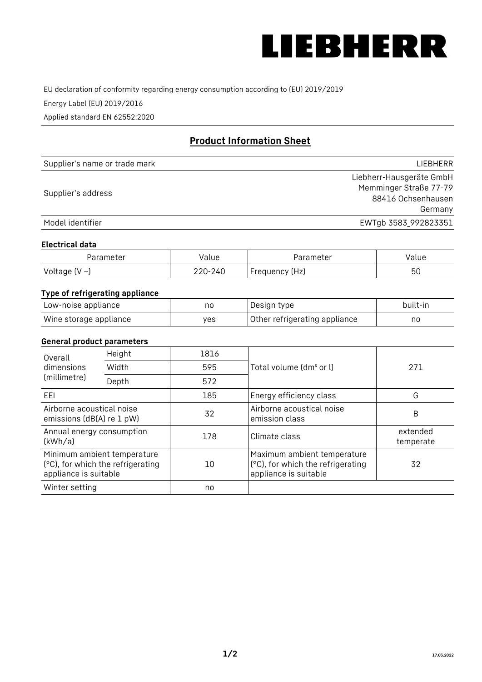

EU declaration of conformity regarding energy consumption according to (EU) 2019/2019

Energy Label (EU) 2019/2016

Applied standard EN 62552:2020

# **Product Information Sheet**

| Supplier's name or trade mark | LIEBHERR                 |
|-------------------------------|--------------------------|
|                               | Liebherr-Hausgeräte GmbH |
| Supplier's address            | Memminger Straße 77-79   |
|                               | 88416 Ochsenhausen       |
|                               | Germany                  |
| Model identifier              | EWTgb 3583_992823351     |

#### **Electrical data**

| Parameter          | Value   | Parameter       | alue/ |
|--------------------|---------|-----------------|-------|
| Voltage $(V \sim)$ | 220-240 | 'Frequency (Hz) | 50    |

# **Type of refrigerating appliance**

| Low-noise appliance    | no  | Design type                   | built-in |
|------------------------|-----|-------------------------------|----------|
| Wine storage appliance | ves | Other refrigerating appliance | no       |

#### **General product parameters**

| Height<br>Overall                                      |                                   | 1816 |                                                                                           |                       |
|--------------------------------------------------------|-----------------------------------|------|-------------------------------------------------------------------------------------------|-----------------------|
| dimensions<br>(millimetre)                             | Width                             | 595  | Total volume (dm <sup>3</sup> or l)                                                       | 271                   |
|                                                        | Depth                             | 572  |                                                                                           |                       |
| EEL                                                    |                                   | 185  | Energy efficiency class                                                                   | G                     |
| Airborne acoustical noise<br>emissions (dB(A) re 1 pW) |                                   | 32   | Airborne acoustical noise<br>emission class                                               | B                     |
| Annual energy consumption<br>(kWh/a)                   |                                   | 178  | Climate class                                                                             | extended<br>temperate |
| Minimum ambient temperature<br>appliance is suitable   | (°C), for which the refrigerating | 10   | Maximum ambient temperature<br>(°C), for which the refrigerating<br>appliance is suitable | 32                    |
| Winter setting                                         |                                   | no   |                                                                                           |                       |